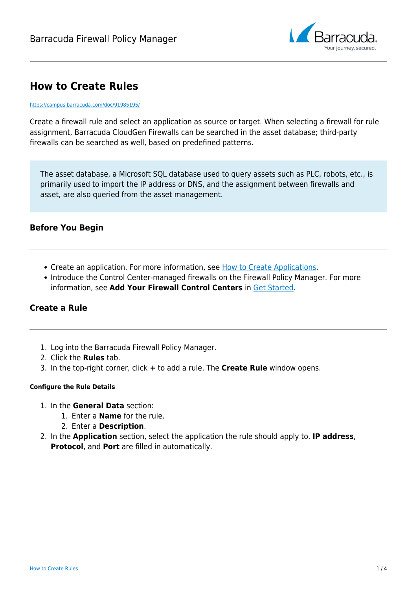

## **How to Create Rules**

#### <https://campus.barracuda.com/doc/91985195/>

Create a firewall rule and select an application as source or target. When selecting a firewall for rule assignment, Barracuda CloudGen Firewalls can be searched in the asset database; third-party firewalls can be searched as well, based on predefined patterns.

The asset database, a Microsoft SQL database used to query assets such as PLC, robots, etc., is primarily used to import the IP address or DNS, and the assignment between firewalls and asset, are also queried from the asset management.

## **Before You Begin**

- Create an application. For more information, see [How to Create Applications.](http://campus.barracuda.com/doc/91985193/)
- Introduce the Control Center-managed firewalls on the Firewall Policy Manager. For more information, see **Add Your Firewall Control Centers** in [Get Started](http://campus.barracuda.com/doc/91985693/).

## **Create a Rule**

- 1. Log into the Barracuda Firewall Policy Manager.
- 2. Click the **Rules** tab.
- 3. In the top-right corner, click **+** to add a rule. The **Create Rule** window opens.

### **Configure the Rule Details**

- 1. In the **General Data** section:
	- 1. Enter a **Name** for the rule.
	- 2. Enter a **Description**.
- 2. In the **Application** section, select the application the rule should apply to. **IP address**, **Protocol**, and **Port** are filled in automatically.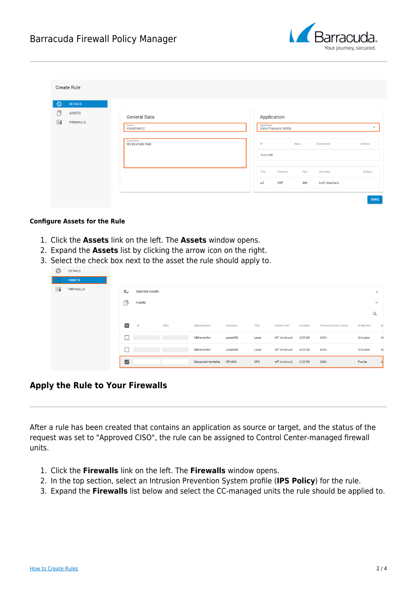

| Ø<br><b>DETAILS</b>                         |                                              |                                                                                                                         |
|---------------------------------------------|----------------------------------------------|-------------------------------------------------------------------------------------------------------------------------|
| Ô<br><b>ASSETS</b><br>匦<br><b>FIREWALLS</b> | <b>General Data</b><br>Name<br>Industrial-02 | Application<br>Application<br>Valve Pressure Safety                                                                     |
|                                             | Description<br>My Example Rule               | Alias<br>Description<br><b>Actions</b><br>IP<br>10.0.0.99                                                               |
|                                             |                                              | h<br>Title<br>Port<br><b>Direction</b><br>Actions<br>Protocol<br><b>UDP</b><br>443<br>both directions<br>W <sub>2</sub> |

#### **Configure Assets for the Rule**

- 1. Click the **Assets** link on the left. The **Assets** window opens.
- 2. Expand the **Assets** list by clicking the arrow icon on the right.
- 3. Select the check box next to the asset the rule should apply to.

|   |                  | $\triangledown$ |                        |            | BekannterHersteller | <b>CPU400</b> | SPS   | WT Innsbruck        | 2/30 EG  | 2084                          | Franke            | 4 <sup>1</sup>      |
|---|------------------|-----------------|------------------------|------------|---------------------|---------------|-------|---------------------|----------|-------------------------------|-------------------|---------------------|
|   |                  |                 |                        |            | NBHersteller        | Laser898      | Laser | <b>WT Innsbruck</b> | 4/09 EG  | 6314                          | Schuster          | 48                  |
|   |                  |                 |                        |            | NBHersteller        | Laser898      | Laser | WT Innsbruck        | 4/09 EG  | 6314                          | Schuster          | 41                  |
|   |                  | Ξ               | $\blacksquare$         | <b>DNS</b> | Manufacturer        | Hardware      | Title | <b>Factory Part</b> | Location | <b>Production Cost Center</b> | <b>Ih Mastery</b> | <b>Ih</b>           |
|   |                  |                 |                        |            |                     |               |       |                     |          |                               |                   | $\alpha$            |
|   |                  | n               | Assets                 |            |                     |               |       |                     |          |                               |                   | $\hat{\phantom{a}}$ |
| 国 | <b>FIREWALLS</b> | €               | <b>Selected Assets</b> |            |                     |               |       |                     |          |                               |                   | $\checkmark$        |
|   | <b>ASSETS</b>    |                 |                        |            |                     |               |       |                     |          |                               |                   |                     |
| ٤ | <b>DETAILS</b>   |                 |                        |            |                     |               |       |                     |          |                               |                   |                     |

## **Apply the Rule to Your Firewalls**

After a rule has been created that contains an application as source or target, and the status of the request was set to "Approved CISO", the rule can be assigned to Control Center-managed firewall units.

- 1. Click the **Firewalls** link on the left. The **Firewalls** window opens.
- 2. In the top section, select an Intrusion Prevention System profile (**IPS Policy**) for the rule.
- 3. Expand the **Firewalls** list below and select the CC-managed units the rule should be applied to.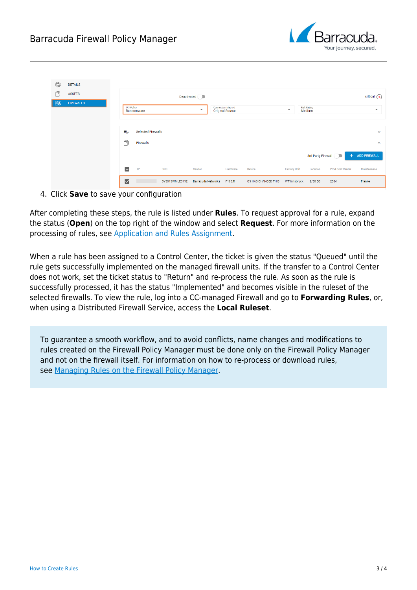

|        |                  | $\triangledown$   |                           | SYS01SWMLE3152 | <b>Barracuda Networks</b> | F183.R                                             | <b>GS HAS CHANGED THIS</b> | WT Innsbruck             | 2/30 EG               | 2084                    | Franke                   |
|--------|------------------|-------------------|---------------------------|----------------|---------------------------|----------------------------------------------------|----------------------------|--------------------------|-----------------------|-------------------------|--------------------------|
|        |                  | $\blacksquare$    | IP                        | <b>DNS</b>     | Vendor                    | Hardware                                           | Device                     | <b>Factory Unit</b>      | Location              | <b>Prod Cost Center</b> | Maintenance              |
|        |                  |                   |                           |                |                           |                                                    |                            |                          | 3rd Party Firewall    |                         | + ADD FIREWALL           |
|        |                  | ñ                 | Firewalls                 |                |                           |                                                    |                            |                          |                       |                         | $\hat{\phantom{a}}$      |
|        |                  | ₹                 | <b>Selected Firewalls</b> |                |                           |                                                    |                            |                          |                       |                         | $\checkmark$             |
|        |                  |                   |                           |                |                           |                                                    |                            |                          |                       |                         |                          |
| 鬲      | <b>FIREWALLS</b> | <b>IPS Policy</b> | Ransomware                |                | $\overline{\phantom{a}}$  | <b>Connection Method</b><br><b>Original Source</b> |                            | $\overline{\phantom{a}}$ | Risk Rating<br>Medium |                         | $\overline{\phantom{a}}$ |
| $\Box$ | <b>ASSETS</b>    |                   |                           |                | Deactivated D             |                                                    |                            |                          |                       |                         | critical $\bigcirc$      |
| ٤      | <b>DETAILS</b>   |                   |                           |                |                           |                                                    |                            |                          |                       |                         |                          |

4. Click **Save** to save your configuration

After completing these steps, the rule is listed under **Rules**. To request approval for a rule, expand the status (**Open**) on the top right of the window and select **Request**. For more information on the processing of rules, see [Application and Rules Assignment.](http://campus.barracuda.com/doc/91985191/)

When a rule has been assigned to a Control Center, the ticket is given the status "Queued" until the rule gets successfully implemented on the managed firewall units. If the transfer to a Control Center does not work, set the ticket status to "Return" and re-process the rule. As soon as the rule is successfully processed, it has the status "Implemented" and becomes visible in the ruleset of the selected firewalls. To view the rule, log into a CC-managed Firewall and go to **Forwarding Rules**, or, when using a Distributed Firewall Service, access the **Local Ruleset**.

To guarantee a smooth workflow, and to avoid conflicts, name changes and modifications to rules created on the Firewall Policy Manager must be done only on the Firewall Policy Manager and not on the firewall itself. For information on how to re-process or download rules, see [Managing Rules on the Firewall Policy Manager.](http://campus.barracuda.com/doc/96021781/)